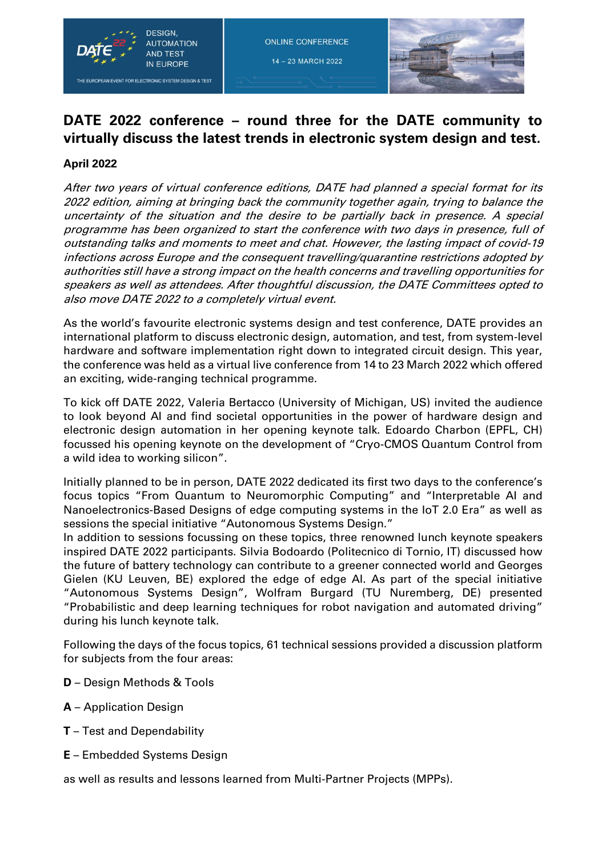

14 - 23 MARCH 2022



## **DATE 2022 conference – round three for the DATE community to virtually discuss the latest trends in electronic system design and test.**

## **April 2022**

After two years of virtual conference editions, DATE had planned a special format for its 2022 edition, aiming at bringing back the community together again, trying to balance the uncertainty of the situation and the desire to be partially back in presence. A special programme has been organized to start the conference with two days in presence, full of outstanding talks and moments to meet and chat. However, the lasting impact of covid-19 infections across Europe and the consequent travelling/quarantine restrictions adopted by authorities still have a strong impact on the health concerns and travelling opportunities for speakers as well as attendees. After thoughtful discussion, the DATE Committees opted to also move DATE 2022 to a completely virtual event.

As the world's favourite electronic systems design and test conference, DATE provides an international platform to discuss electronic design, automation, and test, from system-level hardware and software implementation right down to integrated circuit design. This year, the conference was held as a virtual live conference from 14 to 23 March 2022 which offered an exciting, wide-ranging technical programme.

To kick off DATE 2022, Valeria Bertacco (University of Michigan, US) invited the audience to look beyond AI and find societal opportunities in the power of hardware design and electronic design automation in her opening keynote talk. Edoardo Charbon (EPFL, CH) focussed his opening keynote on the development of "Cryo-CMOS Quantum Control from a wild idea to working silicon".

Initially planned to be in person, DATE 2022 dedicated its first two days to the conference's focus topics "From Quantum to Neuromorphic Computing" and "Interpretable AI and Nanoelectronics-Based Designs of edge computing systems in the IoT 2.0 Era" as well as sessions the special initiative "Autonomous Systems Design."

In addition to sessions focussing on these topics, three renowned lunch keynote speakers inspired DATE 2022 participants. Silvia Bodoardo (Politecnico di Tornio, IT) discussed how the future of battery technology can contribute to a greener connected world and Georges Gielen (KU Leuven, BE) explored the edge of edge AI. As part of the special initiative "Autonomous Systems Design", Wolfram Burgard (TU Nuremberg, DE) presented "Probabilistic and deep learning techniques for robot navigation and automated driving" during his lunch keynote talk.

Following the days of the focus topics, 61 technical sessions provided a discussion platform for subjects from the four areas:

- **D**  Design Methods & Tools
- **A**  Application Design
- **T**  Test and Dependability
- **E**  Embedded Systems Design

as well as results and lessons learned from Multi-Partner Projects (MPPs).